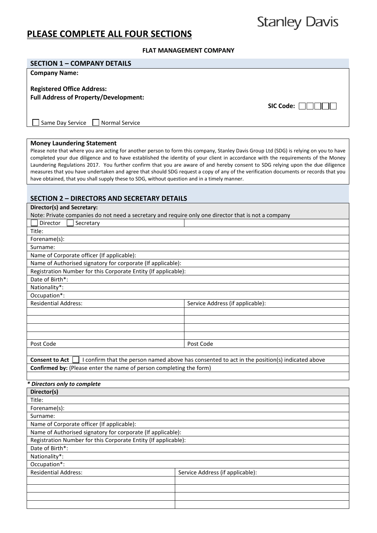## **PLEASE COMPLETE ALL FOUR SECTIONS**

# **Stanley Davis**

#### **FLAT MANAGEMENT COMPANY**

| <b>SECTION 1 - COMPANY DETAILS</b>                                                                                                |                                                                                                                                                                                                                                                                             |  |
|-----------------------------------------------------------------------------------------------------------------------------------|-----------------------------------------------------------------------------------------------------------------------------------------------------------------------------------------------------------------------------------------------------------------------------|--|
| <b>Company Name:</b>                                                                                                              |                                                                                                                                                                                                                                                                             |  |
|                                                                                                                                   |                                                                                                                                                                                                                                                                             |  |
| <b>Registered Office Address:</b>                                                                                                 |                                                                                                                                                                                                                                                                             |  |
| <b>Full Address of Property/Development:</b>                                                                                      |                                                                                                                                                                                                                                                                             |  |
|                                                                                                                                   | $SIC Code: \Box$                                                                                                                                                                                                                                                            |  |
|                                                                                                                                   |                                                                                                                                                                                                                                                                             |  |
| Same Day Service<br><b>Normal Service</b>                                                                                         |                                                                                                                                                                                                                                                                             |  |
|                                                                                                                                   |                                                                                                                                                                                                                                                                             |  |
|                                                                                                                                   |                                                                                                                                                                                                                                                                             |  |
| <b>Money Laundering Statement</b>                                                                                                 |                                                                                                                                                                                                                                                                             |  |
|                                                                                                                                   | Please note that where you are acting for another person to form this company, Stanley Davis Group Ltd (SDG) is relying on you to have<br>completed your due diligence and to have established the identity of your client in accordance with the requirements of the Money |  |
|                                                                                                                                   | Laundering Regulations 2017. You further confirm that you are aware of and hereby consent to SDG relying upon the due diligence                                                                                                                                             |  |
|                                                                                                                                   | measures that you have undertaken and agree that should SDG request a copy of any of the verification documents or records that you                                                                                                                                         |  |
| have obtained, that you shall supply these to SDG, without question and in a timely manner.                                       |                                                                                                                                                                                                                                                                             |  |
|                                                                                                                                   |                                                                                                                                                                                                                                                                             |  |
| <b>SECTION 2 - DIRECTORS AND SECRETARY DETAILS</b>                                                                                |                                                                                                                                                                                                                                                                             |  |
|                                                                                                                                   |                                                                                                                                                                                                                                                                             |  |
| Director(s) and Secretary:<br>Note: Private companies do not need a secretary and require only one director that is not a company |                                                                                                                                                                                                                                                                             |  |
| Director<br>Secretary                                                                                                             |                                                                                                                                                                                                                                                                             |  |
| Title:                                                                                                                            |                                                                                                                                                                                                                                                                             |  |
|                                                                                                                                   |                                                                                                                                                                                                                                                                             |  |
| Forename(s):<br>Surname:                                                                                                          |                                                                                                                                                                                                                                                                             |  |
|                                                                                                                                   |                                                                                                                                                                                                                                                                             |  |
| Name of Corporate officer (If applicable):                                                                                        |                                                                                                                                                                                                                                                                             |  |
| Name of Authorised signatory for corporate (If applicable):                                                                       |                                                                                                                                                                                                                                                                             |  |
| Registration Number for this Corporate Entity (If applicable):                                                                    |                                                                                                                                                                                                                                                                             |  |
| Date of Birth*:                                                                                                                   |                                                                                                                                                                                                                                                                             |  |
| Nationality*:                                                                                                                     |                                                                                                                                                                                                                                                                             |  |
| Occupation*:<br><b>Residential Address:</b>                                                                                       |                                                                                                                                                                                                                                                                             |  |
|                                                                                                                                   | Service Address (if applicable):                                                                                                                                                                                                                                            |  |
|                                                                                                                                   |                                                                                                                                                                                                                                                                             |  |
|                                                                                                                                   |                                                                                                                                                                                                                                                                             |  |
|                                                                                                                                   |                                                                                                                                                                                                                                                                             |  |
| Post Code                                                                                                                         | Post Code                                                                                                                                                                                                                                                                   |  |
|                                                                                                                                   |                                                                                                                                                                                                                                                                             |  |
| <b>Consent to Act</b>                                                                                                             | I confirm that the person named above has consented to act in the position(s) indicated above                                                                                                                                                                               |  |
| Confirmed by: (Please enter the name of person completing the form)                                                               |                                                                                                                                                                                                                                                                             |  |
|                                                                                                                                   |                                                                                                                                                                                                                                                                             |  |
| Directors only to complete                                                                                                        |                                                                                                                                                                                                                                                                             |  |
| Director(s)                                                                                                                       |                                                                                                                                                                                                                                                                             |  |
| Title:                                                                                                                            |                                                                                                                                                                                                                                                                             |  |
| Forename(s):                                                                                                                      |                                                                                                                                                                                                                                                                             |  |
| Surname:                                                                                                                          |                                                                                                                                                                                                                                                                             |  |
| Name of Corporate officer (If applicable):                                                                                        |                                                                                                                                                                                                                                                                             |  |
| Name of Authorised signatory for corporate (If applicable):                                                                       |                                                                                                                                                                                                                                                                             |  |
| Registration Number for this Corporate Entity (If applicable):                                                                    |                                                                                                                                                                                                                                                                             |  |
| Date of Birth*:                                                                                                                   |                                                                                                                                                                                                                                                                             |  |
| Nationality*:                                                                                                                     |                                                                                                                                                                                                                                                                             |  |
| Occupation*:                                                                                                                      |                                                                                                                                                                                                                                                                             |  |
| <b>Residential Address:</b>                                                                                                       | Service Address (if applicable):                                                                                                                                                                                                                                            |  |
|                                                                                                                                   |                                                                                                                                                                                                                                                                             |  |
|                                                                                                                                   |                                                                                                                                                                                                                                                                             |  |
|                                                                                                                                   |                                                                                                                                                                                                                                                                             |  |
|                                                                                                                                   |                                                                                                                                                                                                                                                                             |  |
|                                                                                                                                   |                                                                                                                                                                                                                                                                             |  |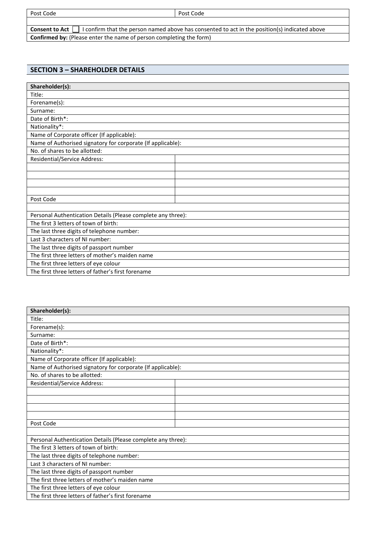Post Code

Consent to Act  $\Box$  I confirm that the person named above has consented to act in the position(s) indicated above **Confirmed by:** (Please enter the name of person completing the form)

#### **SECTION 3 – SHAREHOLDER DETAILS**

| Shareholder(s):                                              |  |  |  |
|--------------------------------------------------------------|--|--|--|
| Title:                                                       |  |  |  |
| Forename(s):                                                 |  |  |  |
| Surname:                                                     |  |  |  |
| Date of Birth*:                                              |  |  |  |
| Nationality*:                                                |  |  |  |
| Name of Corporate officer (If applicable):                   |  |  |  |
| Name of Authorised signatory for corporate (If applicable):  |  |  |  |
| No. of shares to be allotted:                                |  |  |  |
| Residential/Service Address:                                 |  |  |  |
|                                                              |  |  |  |
|                                                              |  |  |  |
|                                                              |  |  |  |
|                                                              |  |  |  |
| Post Code                                                    |  |  |  |
|                                                              |  |  |  |
| Personal Authentication Details (Please complete any three): |  |  |  |
| The first 3 letters of town of birth:                        |  |  |  |
| The last three digits of telephone number:                   |  |  |  |
| Last 3 characters of NI number:                              |  |  |  |
| The last three digits of passport number                     |  |  |  |
| The first three letters of mother's maiden name              |  |  |  |
| The first three letters of eye colour                        |  |  |  |
| The first three letters of father's first forename           |  |  |  |

| Shareholder(s):                                              |  |  |  |
|--------------------------------------------------------------|--|--|--|
| Title:                                                       |  |  |  |
| Forename(s):                                                 |  |  |  |
| Surname:                                                     |  |  |  |
| Date of Birth*:                                              |  |  |  |
| Nationality*:                                                |  |  |  |
| Name of Corporate officer (If applicable):                   |  |  |  |
| Name of Authorised signatory for corporate (If applicable):  |  |  |  |
| No. of shares to be allotted:                                |  |  |  |
| <b>Residential/Service Address:</b>                          |  |  |  |
|                                                              |  |  |  |
|                                                              |  |  |  |
|                                                              |  |  |  |
|                                                              |  |  |  |
| Post Code                                                    |  |  |  |
|                                                              |  |  |  |
| Personal Authentication Details (Please complete any three): |  |  |  |
| The first 3 letters of town of birth:                        |  |  |  |
| The last three digits of telephone number:                   |  |  |  |
| Last 3 characters of NI number:                              |  |  |  |
| The last three digits of passport number                     |  |  |  |
| The first three letters of mother's maiden name              |  |  |  |
| The first three letters of eye colour                        |  |  |  |
| The first three letters of father's first forename           |  |  |  |